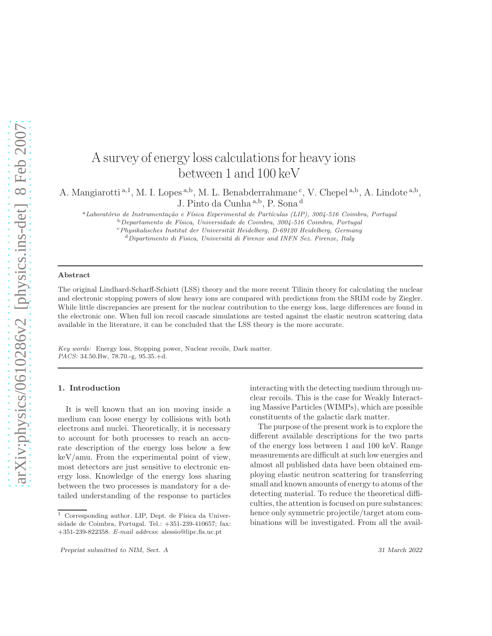# A survey of energy loss calculations for heavy ions between 1 and 100 keV

A. Mangiarotti<sup>a,1</sup>, M. I. Lopes<sup>a,b</sup>, M. L. Benabderrahmane<sup>c</sup>, V. Chepel<sup>a,b</sup>, A. Lindote<sup>a,b</sup>, J. Pinto da Cunha <sup>a</sup>,<sup>b</sup> , P. Sona <sup>d</sup>

<sup>a</sup>Laboratório de Instrumentação e Física Experimental de Partículas (LIP), 3004-516 Coimbra, Portugal

<sup>b</sup>*Departamento de F´ısica, Universidade de Coimbra, 3004-516 Coimbra, Portugal*

<sup>c</sup>*Physikalisches Institut der Universit¨at Heidelberg, D-69120 Heidelberg, Germany*

<sup>d</sup>*Dipartimento di Fisica, Universit´a di Firenze and INFN Sez. Firenze, Italy*

#### Abstract

The original Lindhard-Scharff-Schiøtt (LSS) theory and the more recent Tilinin theory for calculating the nuclear and electronic stopping powers of slow heavy ions are compared with predictions from the SRIM code by Ziegler. While little discrepancies are present for the nuclear contribution to the energy loss, large differences are found in the electronic one. When full ion recoil cascade simulations are tested against the elastic neutron scattering data available in the literature, it can be concluded that the LSS theory is the more accurate.

*Key words:* Energy loss, Stopping power, Nuclear recoils, Dark matter. *PACS:* 34.50.Bw, 78.70.-g, 95.35.+d.

# 1. Introduction

It is well known that an ion moving inside a medium can loose energy by collisions with both electrons and nuclei. Theoretically, it is necessary to account for both processes to reach an accurate description of the energy loss below a few keV/amu. From the experimental point of view, most detectors are just sensitive to electronic energy loss. Knowledge of the energy loss sharing between the two processes is mandatory for a detailed understanding of the response to particles interacting with the detecting medium through nuclear recoils. This is the case for Weakly Interacting Massive Particles (WIMPs), which are possible constituents of the galactic dark matter.

The purpose of the present work is to explore the different available descriptions for the two parts of the energy loss between 1 and 100 keV. Range measurements are difficult at such low energies and almost all published data have been obtained employing elastic neutron scattering for transferring small and known amounts of energy to atoms of the detecting material. To reduce the theoretical difficulties, the attention is focused on pure substances: hence only symmetric projectile/target atom combinations will be investigated. From all the avail-

 $1$  Corresponding author. LIP, Dept. de Física da Universidade de Coimbra, Portugal. Tel.: +351-239-410657; fax: +351-239-822358. *E-mail address*: alessio@lipc.fis.uc.pt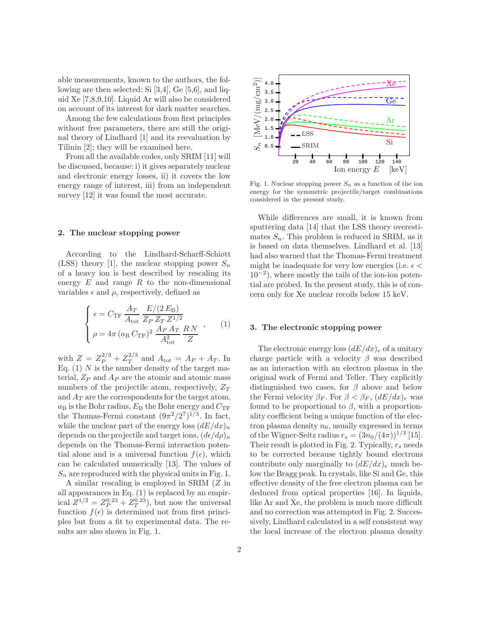able measurements, known to the authors, the following are then selected: Si [3,4], Ge [5,6], and liquid Xe [7,8,9,10]. Liquid Ar will also be considered on account of its interest for dark matter searches.

Among the few calculations from first principles without free parameters, there are still the original theory of Lindhard [1] and its reevaluation by Tilinin [2]; they will be examined here.

From all the available codes, only SRIM [11] will be discussed, because: i) it gives separately nuclear and electronic energy losses, ii) it covers the low energy range of interest, iii) from an independent survey [12] it was found the most accurate.

# 2. The nuclear stopping power

According to the Lindhard-Scharff-Schiøtt (LSS) theory [1], the nuclear stopping power  $S_n$ of a heavy ion is best described by rescaling its energy  $E$  and range  $R$  to the non-dimensional variables  $\epsilon$  and  $\rho$ , respectively, defined as

$$
\begin{cases}\n\epsilon = C_{\text{TF}} \frac{A_T}{A_{\text{tot}}} \frac{E/(2 E_{\text{B}})}{Z_P Z_T Z^{1/2}} \\
\rho = 4\pi (a_{\text{B}} C_{\text{TF}})^2 \frac{A_P A_T}{A_{\text{tot}}^2} \frac{R N}{Z}\n\end{cases},\n\tag{1}
$$

with  $Z = Z_P^{2/3} + Z_T^{2/3}$  $T^{2/3}$  and  $A_{\text{tot}} = A_P + A_T$ . In Eq.  $(1)$  N is the number density of the target material,  $Z_P$  and  $A_P$  are the atomic and atomic mass numbers of the projectile atom, respectively,  $Z_T$ and  $A_T$  are the correspondents for the target atom,  $a_B$  is the Bohr radius,  $E_B$  the Bohr energy and  $C_{\text{TF}}$ the Thomas-Fermi constant  $(9\pi^2/2^7)^{1/3}$ . In fact, while the nuclear part of the energy loss  $(dE/dx)<sub>n</sub>$ depends on the projectile and target ions,  $(d\epsilon/d\rho)_n$ depends on the Thomas-Fermi interaction potential alone and is a universal function  $f(\epsilon)$ , which can be calculated numerically [13]. The values of  $S_n$  are reproduced with the physical units in Fig. 1.

A similar rescaling is employed in SRIM (Z in all appearances in Eq. (1) is replaced by an empirical  $Z^{1/2} = Z_P^{0.23} + Z_T^{0.23}$ , but now the universal function  $f(\epsilon)$  is determined not from first principles but from a fit to experimental data. The results are also shown in Fig. 1.



Fig. 1. Nuclear stopping power  $S_n$  as a function of the ion energy for the symmetric projectile/target combinations considered in the present study.

While differences are small, it is known from sputtering data [14] that the LSS theory overestimates  $S_n$ . This problem is reduced in SRIM, as it is based on data themselves. Lindhard et al. [13] had also warned that the Thomas-Fermi treatment might be inadequate for very low energies (i.e.  $\epsilon$  < 10<sup>−</sup><sup>2</sup> ), where mostly the tails of the ion-ion potential are probed. In the present study, this is of concern only for Xe nuclear recoils below 15 keV.

# 3. The electronic stopping power

The electronic energy loss  $(dE/dx)<sub>e</sub>$  of a unitary charge particle with a velocity  $\beta$  was described as an interaction with an electron plasma in the original work of Fermi and Teller. They explicitly distinguished two cases, for  $\beta$  above and below the Fermi velocity  $\beta_F$ . For  $\beta < \beta_F$ ,  $(dE/dx)_e$  was found to be proportional to  $\beta$ , with a proportionality coefficient being a unique function of the electron plasma density  $n_0$ , usually expressed in terms of the Wigner-Seitz radius  $r_s = (3n_0/(4\pi))^{1/3}$  [15]. Their result is plotted in Fig. 2. Typically,  $r_s$  needs to be corrected because tightly bound electrons contribute only marginally to  $(dE/dx)_{e}$  much below the Bragg peak. In crystals, like Si and Ge, this effective density of the free electron plasma can be deduced from optical properties [16]. In liquids, like Ar and Xe, the problem is much more difficult and no correction was attempted in Fig. 2. Successively, Lindhard calculated in a self consistent way the local increase of the electron plasma density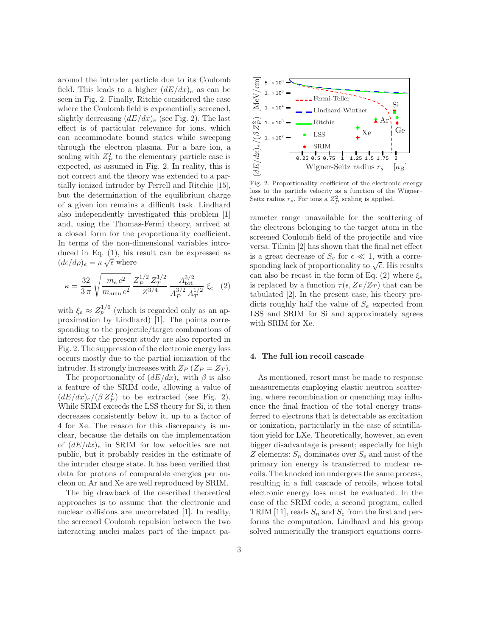around the intruder particle due to its Coulomb field. This leads to a higher  $(dE/dx)<sub>e</sub>$  as can be seen in Fig. 2. Finally, Ritchie considered the case where the Coulomb field is exponentially screened, slightly decreasing  $(dE/dx)_{e}$  (see Fig. 2). The last effect is of particular relevance for ions, which can accommodate bound states while sweeping through the electron plasma. For a bare ion, a scaling with  $Z_P^2$  to the elementary particle case is expected, as assumed in Fig. 2. In reality, this is not correct and the theory was extended to a partially ionized intruder by Ferrell and Ritchie [15], but the determination of the equilibrium charge of a given ion remains a difficult task. Lindhard also independently investigated this problem [1] and, using the Thomas-Fermi theory, arrived at a closed form for the proportionality coefficient. In terms of the non-dimensional variables introduced in Eq. (1), his result can be expressed as  $(d\epsilon/d\rho)_e = \kappa \sqrt{\epsilon}$  where

$$
\kappa = \frac{32}{3\,\pi} \sqrt{\frac{m_e c^2}{m_{\text{amu}}} \frac{Z_P^{1/2} Z_T^{1/2}}{Z^{3/4}} \frac{A_{\text{tot}}^{3/2}}{A_P^{3/2} A_T^{1/2}} \xi_e} \quad (2)
$$

with  $\xi_e \approx Z_p^{1/6}$  (which is regarded only as an approximation by Lindhard) [1]. The points corresponding to the projectile/target combinations of interest for the present study are also reported in Fig. 2. The suppression of the electronic energy loss occurs mostly due to the partial ionization of the intruder. It strongly increases with  $Z_P$  ( $Z_P = Z_T$ ).

The proportionality of  $(dE/dx)<sub>e</sub>$  with  $\beta$  is also a feature of the SRIM code, allowing a value of  $(dE/dx)_e/(\beta Z_P^2)$  to be extracted (see Fig. 2). While SRIM exceeds the LSS theory for Si, it then decreases consistently below it, up to a factor of 4 for Xe. The reason for this discrepancy is unclear, because the details on the implementation of  $(dE/dx)<sub>e</sub>$  in SRIM for low velocities are not public, but it probably resides in the estimate of the intruder charge state. It has been verified that data for protons of comparable energies per nucleon on Ar and Xe are well reproduced by SRIM.

The big drawback of the described theoretical approaches is to assume that the electronic and nuclear collisions are uncorrelated [1]. In reality, the screened Coulomb repulsion between the two interacting nuclei makes part of the impact pa-



Fig. 2. Proportionality coefficient of the electronic energy loss to the particle velocity as a function of the Wigner– Seitz radius  $r_s$ . For ions a  $Z_P^2$  scaling is applied.

rameter range unavailable for the scattering of the electrons belonging to the target atom in the screened Coulomb field of the projectile and vice versa. Tilinin [2] has shown that the final net effect is a great decrease of  $S_e$  for  $\epsilon \ll 1$ , with a corresponding lack of proportionality to  $\sqrt{\epsilon}$ . His results can also be recast in the form of Eq. (2) where  $\xi_e$ is replaced by a function  $\tau(\epsilon, Z_P/Z_T)$  that can be tabulated [2]. In the present case, his theory predicts roughly half the value of  $S_e$  expected from LSS and SRIM for Si and approximately agrees with SRIM for Xe.

# 4. The full ion recoil cascade

As mentioned, resort must be made to response measurements employing elastic neutron scattering, where recombination or quenching may influence the final fraction of the total energy transferred to electrons that is detectable as excitation or ionization, particularly in the case of scintillation yield for LXe. Theoretically, however, an even bigger disadvantage is present; especially for high Z elements:  $S_n$  dominates over  $S_e$  and most of the primary ion energy is transferred to nuclear recoils. The knocked ion undergoes the same process, resulting in a full cascade of recoils, whose total electronic energy loss must be evaluated. In the case of the SRIM code, a second program, called TRIM [11], reads  $S_n$  and  $S_e$  from the first and performs the computation. Lindhard and his group solved numerically the transport equations corre-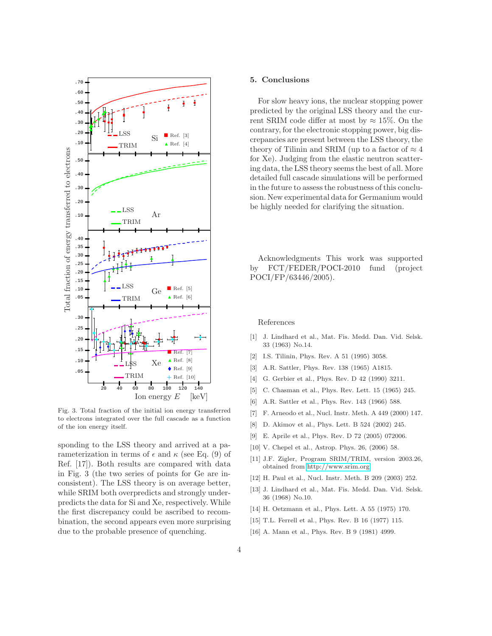

Fig. 3. Total fraction of the initial ion energy transferred to electrons integrated over the full cascade as a function of the ion energy itself.

sponding to the LSS theory and arrived at a parameterization in terms of  $\epsilon$  and  $\kappa$  (see Eq. (9) of Ref. [17]). Both results are compared with data in Fig. 3 (the two series of points for Ge are inconsistent). The LSS theory is on average better, while SRIM both overpredicts and strongly underpredicts the data for Si and Xe, respectively. While the first discrepancy could be ascribed to recombination, the second appears even more surprising due to the probable presence of quenching.

### 5. Conclusions

For slow heavy ions, the nuclear stopping power predicted by the original LSS theory and the current SRIM code differ at most by  $\approx 15\%$ . On the contrary, for the electronic stopping power, big discrepancies are present between the LSS theory, the theory of Tilinin and SRIM (up to a factor of  $\approx 4$ ) for Xe). Judging from the elastic neutron scattering data, the LSS theory seems the best of all. More detailed full cascade simulations will be performed in the future to assess the robustness of this conclusion. New experimental data for Germanium would be highly needed for clarifying the situation.

Acknowledgments This work was supported by FCT/FEDER/POCI-2010 fund (project POCI/FP/63446/2005).

# References

- [1] J. Lindhard et al., Mat. Fis. Medd. Dan. Vid. Selsk. 33 (1963) No.14.
- [2] I.S. Tilinin, Phys. Rev. A 51 (1995) 3058.
- [3] A.R. Sattler, Phys. Rev. 138 (1965) A1815.
- [4] G. Gerbier et al., Phys. Rev. D 42 (1990) 3211.
- [5] C. Chasman et al., Phys. Rev. Lett. 15 (1965) 245.
- [6] A.R. Sattler et al., Phys. Rev. 143 (1966) 588.
- [7] F. Arneodo et al., Nucl. Instr. Meth. A 449 (2000) 147.
- [8] D. Akimov et al., Phys. Lett. B 524 (2002) 245.
- [9] E. Aprile et al., Phys. Rev. D 72 (2005) 072006.
- [10] V. Chepel et al., Astrop. Phys. 26, (2006) 58.
- [11] J.F. Zigler, Program SRIM/TRIM, version 2003.26, obtained from [http://www.srim.org.](http://www.srim.org)
- [12] H. Paul et al., Nucl. Instr. Meth. B 209 (2003) 252.
- [13] J. Lindhard et al., Mat. Fis. Medd. Dan. Vid. Selsk. 36 (1968) No.10.
- [14] H. Oetzmann et al., Phys. Lett. A 55 (1975) 170.
- [15] T.L. Ferrell et al., Phys. Rev. B 16 (1977) 115.
- [16] A. Mann et al., Phys. Rev. B 9 (1981) 4999.